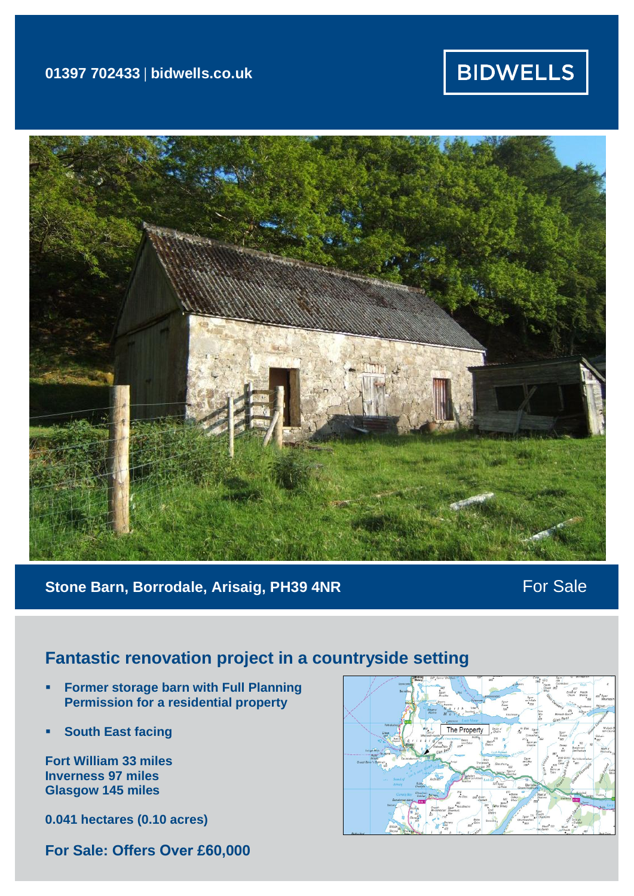## **01397 702433 | bidwells.co.uk**

# **BIDWELLS**



## **Stone Barn, Borrodale, Arisaig, PH39 4NR** For Sale

# **Fantastic renovation project in a countryside setting**

- **Former storage barn with Full Planning Permission for a residential property**
- **South East facing**

**Fort William 33 miles Inverness 97 miles Glasgow 145 miles**

**0.041 hectares (0.10 acres)**

**For Sale: Offers Over £60,000**